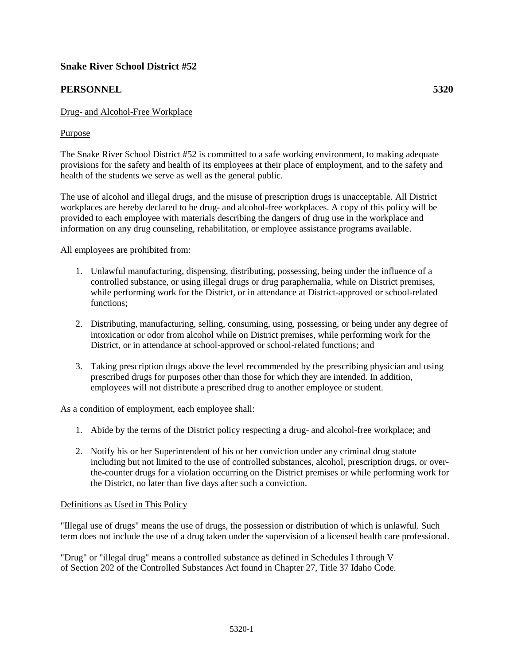# **Snake River School District #52**

# **PERSONNEL 5320**

## Drug- and Alcohol-Free Workplace

### Purpose

The Snake River School District #52 is committed to a safe working environment, to making adequate provisions for the safety and health of its employees at their place of employment, and to the safety and health of the students we serve as well as the general public.

The use of alcohol and illegal drugs, and the misuse of prescription drugs is unacceptable. All District workplaces are hereby declared to be drug- and alcohol-free workplaces. A copy of this policy will be provided to each employee with materials describing the dangers of drug use in the workplace and information on any drug counseling, rehabilitation, or employee assistance programs available.

All employees are prohibited from:

- 1. Unlawful manufacturing, dispensing, distributing, possessing, being under the influence of a controlled substance, or using illegal drugs or drug paraphernalia, while on District premises, while performing work for the District, or in attendance at District-approved or school-related functions;
- 2. Distributing, manufacturing, selling, consuming, using, possessing, or being under any degree of intoxication or odor from alcohol while on District premises, while performing work for the District, or in attendance at school-approved or school-related functions; and
- 3. Taking prescription drugs above the level recommended by the prescribing physician and using prescribed drugs for purposes other than those for which they are intended. In addition, employees will not distribute a prescribed drug to another employee or student.

As a condition of employment, each employee shall:

- 1. Abide by the terms of the District policy respecting a drug- and alcohol-free workplace; and
- 2. Notify his or her Superintendent of his or her conviction under any criminal drug statute including but not limited to the use of controlled substances, alcohol, prescription drugs, or overthe-counter drugs for a violation occurring on the District premises or while performing work for the District, no later than five days after such a conviction.

### Definitions as Used in This Policy

"Illegal use of drugs" means the use of drugs, the possession or distribution of which is unlawful. Such term does not include the use of a drug taken under the supervision of a licensed health care professional.

"Drug" or "illegal drug" means a controlled substance as defined in Schedules I through V of Section 202 of the Controlled Substances Act found in Chapter 27, Title 37 Idaho Code.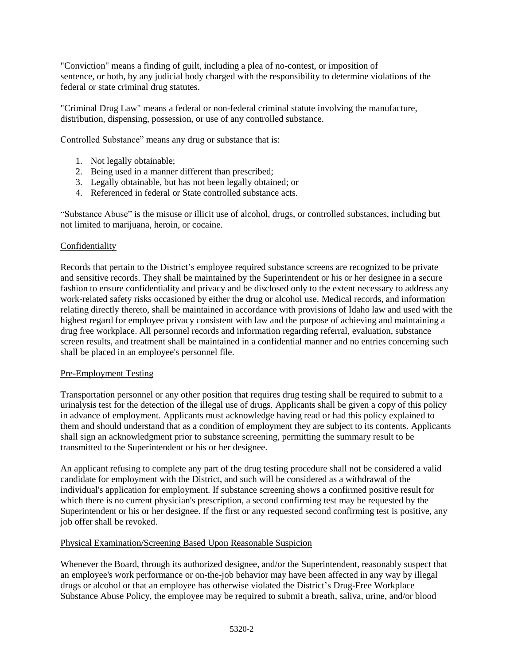"Conviction" means a finding of guilt, including a plea of no-contest, or imposition of sentence, or both, by any judicial body charged with the responsibility to determine violations of the federal or state criminal drug statutes.

"Criminal Drug Law" means a federal or non-federal criminal statute involving the manufacture, distribution, dispensing, possession, or use of any controlled substance.

Controlled Substance" means any drug or substance that is:

- 1. Not legally obtainable;
- 2. Being used in a manner different than prescribed;
- 3. Legally obtainable, but has not been legally obtained; or
- 4. Referenced in federal or State controlled substance acts.

"Substance Abuse" is the misuse or illicit use of alcohol, drugs, or controlled substances, including but not limited to marijuana, heroin, or cocaine.

### Confidentiality

Records that pertain to the District's employee required substance screens are recognized to be private and sensitive records. They shall be maintained by the Superintendent or his or her designee in a secure fashion to ensure confidentiality and privacy and be disclosed only to the extent necessary to address any work-related safety risks occasioned by either the drug or alcohol use. Medical records, and information relating directly thereto, shall be maintained in accordance with provisions of Idaho law and used with the highest regard for employee privacy consistent with law and the purpose of achieving and maintaining a drug free workplace. All personnel records and information regarding referral, evaluation, substance screen results, and treatment shall be maintained in a confidential manner and no entries concerning such shall be placed in an employee's personnel file.

### Pre-Employment Testing

Transportation personnel or any other position that requires drug testing shall be required to submit to a urinalysis test for the detection of the illegal use of drugs. Applicants shall be given a copy of this policy in advance of employment. Applicants must acknowledge having read or had this policy explained to them and should understand that as a condition of employment they are subject to its contents. Applicants shall sign an acknowledgment prior to substance screening, permitting the summary result to be transmitted to the Superintendent or his or her designee.

An applicant refusing to complete any part of the drug testing procedure shall not be considered a valid candidate for employment with the District, and such will be considered as a withdrawal of the individual's application for employment. If substance screening shows a confirmed positive result for which there is no current physician's prescription, a second confirming test may be requested by the Superintendent or his or her designee. If the first or any requested second confirming test is positive, any job offer shall be revoked.

### Physical Examination/Screening Based Upon Reasonable Suspicion

Whenever the Board, through its authorized designee, and/or the Superintendent, reasonably suspect that an employee's work performance or on-the-job behavior may have been affected in any way by illegal drugs or alcohol or that an employee has otherwise violated the District's Drug-Free Workplace Substance Abuse Policy, the employee may be required to submit a breath, saliva, urine, and/or blood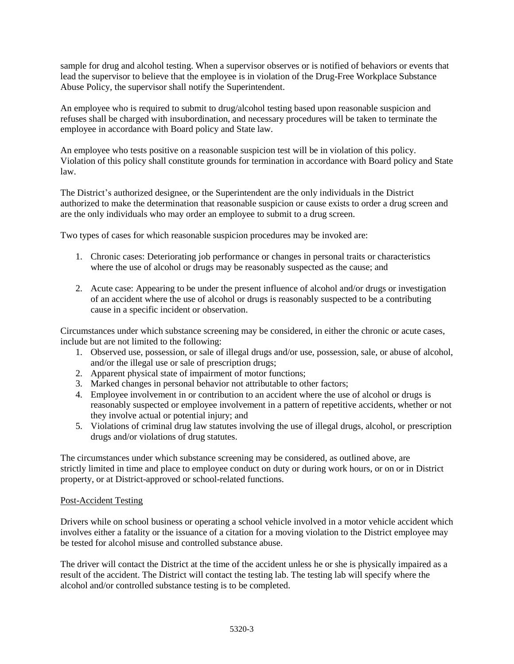sample for drug and alcohol testing. When a supervisor observes or is notified of behaviors or events that lead the supervisor to believe that the employee is in violation of the Drug-Free Workplace Substance Abuse Policy, the supervisor shall notify the Superintendent.

An employee who is required to submit to drug/alcohol testing based upon reasonable suspicion and refuses shall be charged with insubordination, and necessary procedures will be taken to terminate the employee in accordance with Board policy and State law.

An employee who tests positive on a reasonable suspicion test will be in violation of this policy. Violation of this policy shall constitute grounds for termination in accordance with Board policy and State law.

The District's authorized designee, or the Superintendent are the only individuals in the District authorized to make the determination that reasonable suspicion or cause exists to order a drug screen and are the only individuals who may order an employee to submit to a drug screen.

Two types of cases for which reasonable suspicion procedures may be invoked are:

- 1. Chronic cases: Deteriorating job performance or changes in personal traits or characteristics where the use of alcohol or drugs may be reasonably suspected as the cause; and
- 2. Acute case: Appearing to be under the present influence of alcohol and/or drugs or investigation of an accident where the use of alcohol or drugs is reasonably suspected to be a contributing cause in a specific incident or observation.

Circumstances under which substance screening may be considered, in either the chronic or acute cases, include but are not limited to the following:

- 1. Observed use, possession, or sale of illegal drugs and/or use, possession, sale, or abuse of alcohol, and/or the illegal use or sale of prescription drugs;
- 2. Apparent physical state of impairment of motor functions;
- 3. Marked changes in personal behavior not attributable to other factors;
- 4. Employee involvement in or contribution to an accident where the use of alcohol or drugs is reasonably suspected or employee involvement in a pattern of repetitive accidents, whether or not they involve actual or potential injury; and
- 5. Violations of criminal drug law statutes involving the use of illegal drugs, alcohol, or prescription drugs and/or violations of drug statutes.

The circumstances under which substance screening may be considered, as outlined above, are strictly limited in time and place to employee conduct on duty or during work hours, or on or in District property, or at District-approved or school-related functions.

### Post-Accident Testing

Drivers while on school business or operating a school vehicle involved in a motor vehicle accident which involves either a fatality or the issuance of a citation for a moving violation to the District employee may be tested for alcohol misuse and controlled substance abuse.

The driver will contact the District at the time of the accident unless he or she is physically impaired as a result of the accident. The District will contact the testing lab. The testing lab will specify where the alcohol and/or controlled substance testing is to be completed.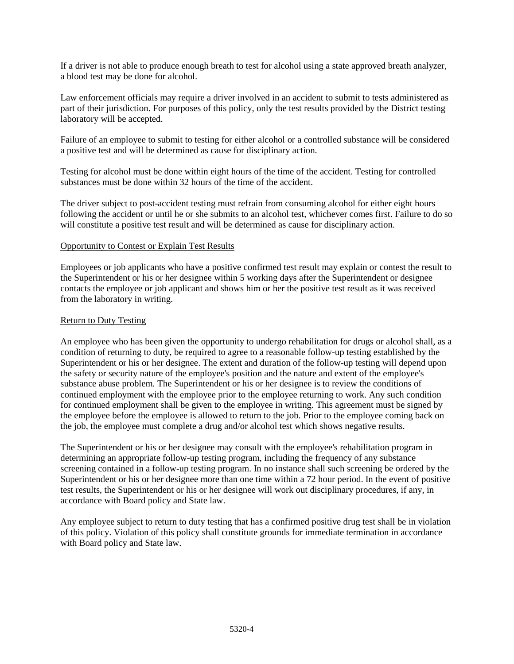If a driver is not able to produce enough breath to test for alcohol using a state approved breath analyzer, a blood test may be done for alcohol.

Law enforcement officials may require a driver involved in an accident to submit to tests administered as part of their jurisdiction. For purposes of this policy, only the test results provided by the District testing laboratory will be accepted.

Failure of an employee to submit to testing for either alcohol or a controlled substance will be considered a positive test and will be determined as cause for disciplinary action.

Testing for alcohol must be done within eight hours of the time of the accident. Testing for controlled substances must be done within 32 hours of the time of the accident.

The driver subject to post-accident testing must refrain from consuming alcohol for either eight hours following the accident or until he or she submits to an alcohol test, whichever comes first. Failure to do so will constitute a positive test result and will be determined as cause for disciplinary action.

### Opportunity to Contest or Explain Test Results

Employees or job applicants who have a positive confirmed test result may explain or contest the result to the Superintendent or his or her designee within 5 working days after the Superintendent or designee contacts the employee or job applicant and shows him or her the positive test result as it was received from the laboratory in writing.

### Return to Duty Testing

An employee who has been given the opportunity to undergo rehabilitation for drugs or alcohol shall, as a condition of returning to duty, be required to agree to a reasonable follow-up testing established by the Superintendent or his or her designee. The extent and duration of the follow-up testing will depend upon the safety or security nature of the employee's position and the nature and extent of the employee's substance abuse problem. The Superintendent or his or her designee is to review the conditions of continued employment with the employee prior to the employee returning to work. Any such condition for continued employment shall be given to the employee in writing. This agreement must be signed by the employee before the employee is allowed to return to the job. Prior to the employee coming back on the job, the employee must complete a drug and/or alcohol test which shows negative results.

The Superintendent or his or her designee may consult with the employee's rehabilitation program in determining an appropriate follow-up testing program, including the frequency of any substance screening contained in a follow-up testing program. In no instance shall such screening be ordered by the Superintendent or his or her designee more than one time within a 72 hour period. In the event of positive test results, the Superintendent or his or her designee will work out disciplinary procedures, if any, in accordance with Board policy and State law.

Any employee subject to return to duty testing that has a confirmed positive drug test shall be in violation of this policy. Violation of this policy shall constitute grounds for immediate termination in accordance with Board policy and State law.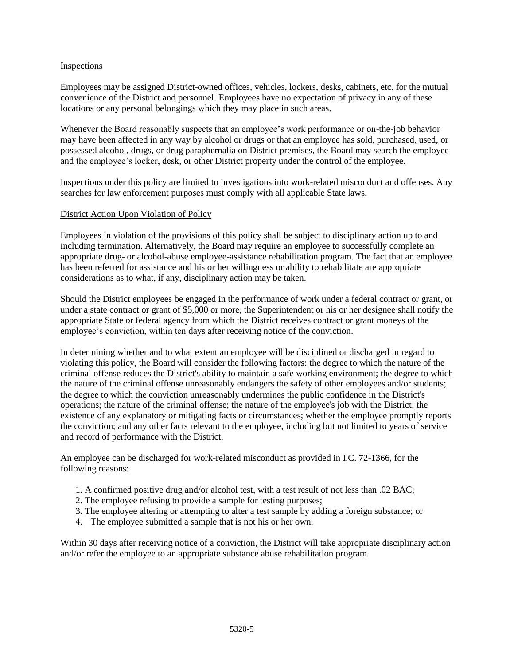### Inspections

Employees may be assigned District-owned offices, vehicles, lockers, desks, cabinets, etc. for the mutual convenience of the District and personnel. Employees have no expectation of privacy in any of these locations or any personal belongings which they may place in such areas.

Whenever the Board reasonably suspects that an employee's work performance or on-the-job behavior may have been affected in any way by alcohol or drugs or that an employee has sold, purchased, used, or possessed alcohol, drugs, or drug paraphernalia on District premises, the Board may search the employee and the employee's locker, desk, or other District property under the control of the employee.

Inspections under this policy are limited to investigations into work-related misconduct and offenses. Any searches for law enforcement purposes must comply with all applicable State laws.

#### District Action Upon Violation of Policy

Employees in violation of the provisions of this policy shall be subject to disciplinary action up to and including termination. Alternatively, the Board may require an employee to successfully complete an appropriate drug- or alcohol-abuse employee-assistance rehabilitation program. The fact that an employee has been referred for assistance and his or her willingness or ability to rehabilitate are appropriate considerations as to what, if any, disciplinary action may be taken.

Should the District employees be engaged in the performance of work under a federal contract or grant, or under a state contract or grant of \$5,000 or more, the Superintendent or his or her designee shall notify the appropriate State or federal agency from which the District receives contract or grant moneys of the employee's conviction, within ten days after receiving notice of the conviction.

In determining whether and to what extent an employee will be disciplined or discharged in regard to violating this policy, the Board will consider the following factors: the degree to which the nature of the criminal offense reduces the District's ability to maintain a safe working environment; the degree to which the nature of the criminal offense unreasonably endangers the safety of other employees and/or students; the degree to which the conviction unreasonably undermines the public confidence in the District's operations; the nature of the criminal offense; the nature of the employee's job with the District; the existence of any explanatory or mitigating facts or circumstances; whether the employee promptly reports the conviction; and any other facts relevant to the employee, including but not limited to years of service and record of performance with the District.

An employee can be discharged for work-related misconduct as provided in I.C. 72-1366, for the following reasons:

- 1. A confirmed positive drug and/or alcohol test, with a test result of not less than .02 BAC;
- 2. The employee refusing to provide a sample for testing purposes;
- 3. The employee altering or attempting to alter a test sample by adding a foreign substance; or
- 4. The employee submitted a sample that is not his or her own.

Within 30 days after receiving notice of a conviction, the District will take appropriate disciplinary action and/or refer the employee to an appropriate substance abuse rehabilitation program.